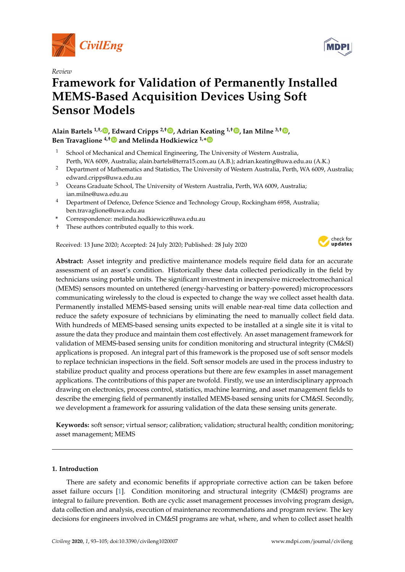

*Review*

# **Framework for Validation of Permanently Installed MEMS-Based Acquisition Devices Using Soft Sensor Models**

**Alain Bartels 1,†, [,](https://orcid.org/0000-0003-1337-5445) Edward Cripps 2,† [,](https://orcid.org/0000-0002-4177-6222) Adrian Keating 1,† [,](https://orcid.org/0000-0003-4284-5653) Ian Milne 3,† [,](https://orcid.org/0000-0002-8552-2208) Ben Travaglione 4,[†](https://orcid.org/0000-0002-9183-2915) and Melinda Hodkiewicz 1,[\\*](https://orcid.org/0000-0002-7336-3932)**

- <sup>1</sup> School of Mechanical and Chemical Engineering, The University of Western Australia, Perth, WA 6009, Australia; alain.bartels@terra15.com.au (A.B.); adrian.keating@uwa.edu.au (A.K.)
- <sup>2</sup> Department of Mathematics and Statistics, The University of Western Australia, Perth, WA 6009, Australia; edward.cripps@uwa.edu.au
- <sup>3</sup> Oceans Graduate School, The University of Western Australia, Perth, WA 6009, Australia; ian.milne@uwa.edu.au
- <sup>4</sup> Department of Defence, Defence Science and Technology Group, Rockingham 6958, Australia; ben.travaglione@uwa.edu.au
- **\*** Correspondence: melinda.hodkiewicz@uwa.edu.au
- † These authors contributed equally to this work.

Received: 13 June 2020; Accepted: 24 July 2020; Published: 28 July 2020



**Abstract:** Asset integrity and predictive maintenance models require field data for an accurate assessment of an asset's condition. Historically these data collected periodically in the field by technicians using portable units. The significant investment in inexpensive microelectromechanical (MEMS) sensors mounted on untethered (energy-harvesting or battery-powered) microprocessors communicating wirelessly to the cloud is expected to change the way we collect asset health data. Permanently installed MEMS-based sensing units will enable near-real time data collection and reduce the safety exposure of technicians by eliminating the need to manually collect field data. With hundreds of MEMS-based sensing units expected to be installed at a single site it is vital to assure the data they produce and maintain them cost effectively. An asset management framework for validation of MEMS-based sensing units for condition monitoring and structural integrity (CM&SI) applications is proposed. An integral part of this framework is the proposed use of soft sensor models to replace technician inspections in the field. Soft sensor models are used in the process industry to stabilize product quality and process operations but there are few examples in asset management applications. The contributions of this paper are twofold. Firstly, we use an interdisciplinary approach drawing on electronics, process control, statistics, machine learning, and asset management fields to describe the emerging field of permanently installed MEMS-based sensing units for CM&SI. Secondly, we development a framework for assuring validation of the data these sensing units generate.

**Keywords:** soft sensor; virtual sensor; calibration; validation; structural health; condition monitoring; asset management; MEMS

## **1. Introduction**

There are safety and economic benefits if appropriate corrective action can be taken before asset failure occurs [\[1\]](#page-10-0). Condition monitoring and structural integrity (CM&SI) programs are integral to failure prevention. Both are cyclic asset management processes involving program design, data collection and analysis, execution of maintenance recommendations and program review. The key decisions for engineers involved in CM&SI programs are what, where, and when to collect asset health

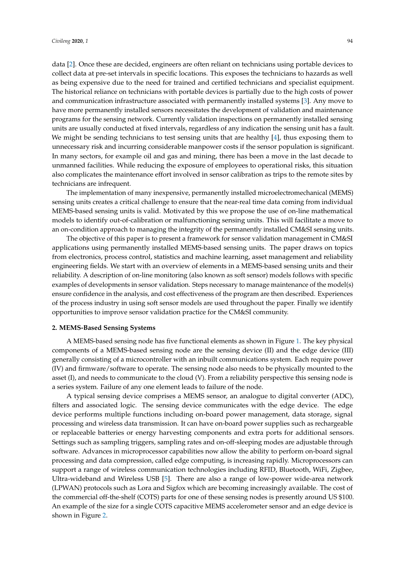data [\[2\]](#page-10-1). Once these are decided, engineers are often reliant on technicians using portable devices to collect data at pre-set intervals in specific locations. This exposes the technicians to hazards as well as being expensive due to the need for trained and certified technicians and specialist equipment. The historical reliance on technicians with portable devices is partially due to the high costs of power and communication infrastructure associated with permanently installed systems [\[3\]](#page-10-2). Any move to have more permanently installed sensors necessitates the development of validation and maintenance programs for the sensing network. Currently validation inspections on permanently installed sensing units are usually conducted at fixed intervals, regardless of any indication the sensing unit has a fault. We might be sending technicians to test sensing units that are healthy [\[4\]](#page-10-3), thus exposing them to unnecessary risk and incurring considerable manpower costs if the sensor population is significant. In many sectors, for example oil and gas and mining, there has been a move in the last decade to unmanned facilities. While reducing the exposure of employees to operational risks, this situation also complicates the maintenance effort involved in sensor calibration as trips to the remote sites by technicians are infrequent.

The implementation of many inexpensive, permanently installed microelectromechanical (MEMS) sensing units creates a critical challenge to ensure that the near-real time data coming from individual MEMS-based sensing units is valid. Motivated by this we propose the use of on-line mathematical models to identify out-of-calibration or malfunctioning sensing units. This will facilitate a move to an on-condition approach to managing the integrity of the permanently installed CM&SI sensing units.

The objective of this paper is to present a framework for sensor validation management in CM&SI applications using permanently installed MEMS-based sensing units. The paper draws on topics from electronics, process control, statistics and machine learning, asset management and reliability engineering fields. We start with an overview of elements in a MEMS-based sensing units and their reliability. A description of on-line monitoring (also known as soft sensor) models follows with specific examples of developments in sensor validation. Steps necessary to manage maintenance of the model(s) ensure confidence in the analysis, and cost effectiveness of the program are then described. Experiences of the process industry in using soft sensor models are used throughout the paper. Finally we identify opportunities to improve sensor validation practice for the CM&SI community.

#### **2. MEMS-Based Sensing Systems**

A MEMS-based sensing node has five functional elements as shown in Figure [1.](#page-2-0) The key physical components of a MEMS-based sensing node are the sensing device (II) and the edge device (III) generally consisting of a microcontroller with an inbuilt communications system. Each require power (IV) and firmware/software to operate. The sensing node also needs to be physically mounted to the asset (I), and needs to communicate to the cloud (V). From a reliability perspective this sensing node is a series system. Failure of any one element leads to failure of the node.

A typical sensing device comprises a MEMS sensor, an analogue to digital converter (ADC), filters and associated logic. The sensing device communicates with the edge device. The edge device performs multiple functions including on-board power management, data storage, signal processing and wireless data transmission. It can have on-board power supplies such as rechargeable or replaceable batteries or energy harvesting components and extra ports for additional sensors. Settings such as sampling triggers, sampling rates and on-off-sleeping modes are adjustable through software. Advances in microprocessor capabilities now allow the ability to perform on-board signal processing and data compression, called edge computing, is increasing rapidly. Microprocessors can support a range of wireless communication technologies including RFID, Bluetooth, WiFi, Zigbee, Ultra-wideband and Wireless USB [\[5\]](#page-10-4). There are also a range of low-power wide-area network (LPWAN) protocols such as Lora and Sigfox which are becoming increasingly available. The cost of the commercial off-the-shelf (COTS) parts for one of these sensing nodes is presently around US \$100. An example of the size for a single COTS capacitive MEMS accelerometer sensor and an edge device is shown in Figure [2.](#page-2-1)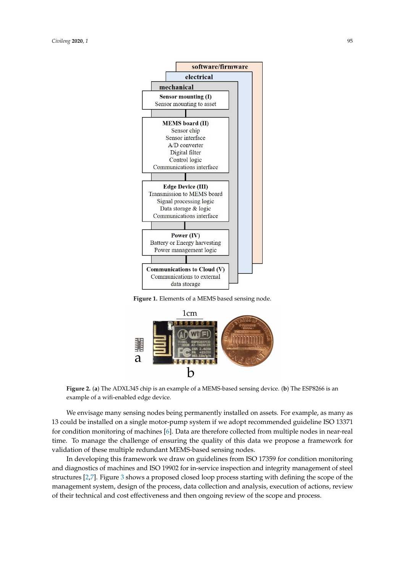<span id="page-2-0"></span>

**Figure 1.** Elements of a MEMS based sensing node.

<span id="page-2-1"></span>

**Figure 2.** (**a**) The ADXL345 chip is an example of a MEMS-based sensing device. (**b**) The ESP8266 is an example of a wifi-enabled edge device.

We envisage many sensing nodes being permanently installed on assets. For example, as many as 13 could be installed on a single motor-pump system if we adopt recommended guideline ISO 13371 for condition monitoring of machines [\[6\]](#page-10-5). Data are therefore collected from multiple nodes in near-real time. To manage the challenge of ensuring the quality of this data we propose a framework for validation of these multiple redundant MEMS-based sensing nodes.

In developing this framework we draw on guidelines from ISO 17359 for condition monitoring and diagnostics of machines and ISO 19902 for in-service inspection and integrity management of steel structures [\[2,](#page-10-1)[7\]](#page-10-6). Figure [3](#page-3-0) shows a proposed closed loop process starting with defining the scope of the management system, design of the process, data collection and analysis, execution of actions, review of their technical and cost effectiveness and then ongoing review of the scope and process.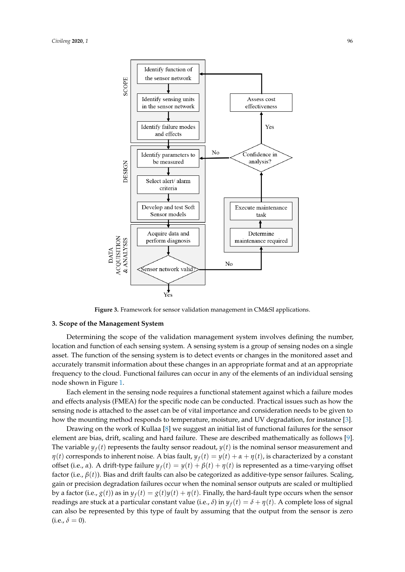<span id="page-3-0"></span>

**Figure 3.** Framework for sensor validation management in CM&SI applications.

### **3. Scope of the Management System**

Determining the scope of the validation management system involves defining the number, location and function of each sensing system. A sensing system is a group of sensing nodes on a single asset. The function of the sensing system is to detect events or changes in the monitored asset and accurately transmit information about these changes in an appropriate format and at an appropriate frequency to the cloud. Functional failures can occur in any of the elements of an individual sensing node shown in Figure [1.](#page-2-0)

Each element in the sensing node requires a functional statement against which a failure modes and effects analysis (FMEA) for the specific node can be conducted. Practical issues such as how the sensing node is attached to the asset can be of vital importance and consideration needs to be given to how the mounting method responds to temperature, moisture, and UV degradation, for instance [\[3\]](#page-10-2).

Drawing on the work of Kullaa [\[8\]](#page-10-7) we suggest an initial list of functional failures for the sensor element are bias, drift, scaling and hard failure. These are described mathematically as follows [\[9\]](#page-10-8). The variable  $y_f(t)$  represents the faulty sensor readout,  $y(t)$  is the nominal sensor measurement and *η*(*t*) corresponds to inherent noise. A bias fault,  $y_f(t) = y(t) + α + η(t)$ , is characterized by a constant offset (i.e., *α*). A drift-type failure  $y_f(t) = y(t) + \beta(t) + \eta(t)$  is represented as a time-varying offset factor (i.e., *β*(*t*)). Bias and drift faults can also be categorized as additive-type sensor failures. Scaling, gain or precision degradation failures occur when the nominal sensor outputs are scaled or multiplied by a factor (i.e.,  $g(t)$ ) as in  $y_f(t) = g(t)y(t) + \eta(t)$ . Finally, the hard-fault type occurs when the sensor readings are stuck at a particular constant value (i.e.,  $\delta$ ) in  $y_f(t) = \delta + \eta(t)$ . A complete loss of signal can also be represented by this type of fault by assuming that the output from the sensor is zero  $(i.e., \delta = 0).$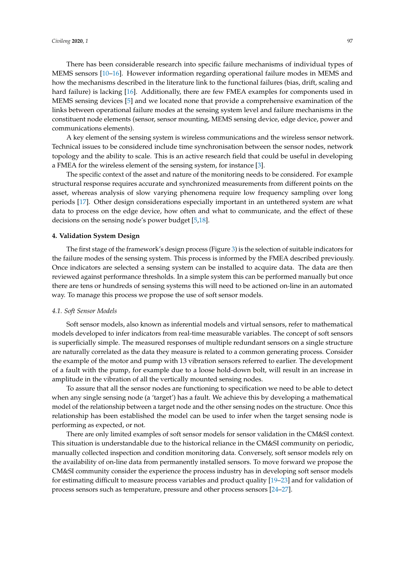There has been considerable research into specific failure mechanisms of individual types of MEMS sensors [\[10](#page-10-9)[–16\]](#page-11-0). However information regarding operational failure modes in MEMS and how the mechanisms described in the literature link to the functional failures (bias, drift, scaling and hard failure) is lacking [\[16\]](#page-11-0). Additionally, there are few FMEA examples for components used in MEMS sensing devices [\[5\]](#page-10-4) and we located none that provide a comprehensive examination of the links between operational failure modes at the sensing system level and failure mechanisms in the constituent node elements (sensor, sensor mounting, MEMS sensing device, edge device, power and communications elements).

A key element of the sensing system is wireless communications and the wireless sensor network. Technical issues to be considered include time synchronisation between the sensor nodes, network topology and the ability to scale. This is an active research field that could be useful in developing a FMEA for the wireless element of the sensing system, for instance [\[3\]](#page-10-2).

The specific context of the asset and nature of the monitoring needs to be considered. For example structural response requires accurate and synchronized measurements from different points on the asset, whereas analysis of slow varying phenomena require low frequency sampling over long periods [\[17\]](#page-11-1). Other design considerations especially important in an untethered system are what data to process on the edge device, how often and what to communicate, and the effect of these decisions on the sensing node's power budget [\[5,](#page-10-4)[18\]](#page-11-2).

#### **4. Validation System Design**

The first stage of the framework's design process (Figure [3\)](#page-3-0) is the selection of suitable indicators for the failure modes of the sensing system. This process is informed by the FMEA described previously. Once indicators are selected a sensing system can be installed to acquire data. The data are then reviewed against performance thresholds. In a simple system this can be performed manually but once there are tens or hundreds of sensing systems this will need to be actioned on-line in an automated way. To manage this process we propose the use of soft sensor models.

## *4.1. Soft Sensor Models*

Soft sensor models, also known as inferential models and virtual sensors, refer to mathematical models developed to infer indicators from real-time measurable variables. The concept of soft sensors is superficially simple. The measured responses of multiple redundant sensors on a single structure are naturally correlated as the data they measure is related to a common generating process. Consider the example of the motor and pump with 13 vibration sensors referred to earlier. The development of a fault with the pump, for example due to a loose hold-down bolt, will result in an increase in amplitude in the vibration of all the vertically mounted sensing nodes.

To assure that all the sensor nodes are functioning to specification we need to be able to detect when any single sensing node (a 'target') has a fault. We achieve this by developing a mathematical model of the relationship between a target node and the other sensing nodes on the structure. Once this relationship has been established the model can be used to infer when the target sensing node is performing as expected, or not.

There are only limited examples of soft sensor models for sensor validation in the CM&SI context. This situation is understandable due to the historical reliance in the CM&SI community on periodic, manually collected inspection and condition monitoring data. Conversely, soft sensor models rely on the availability of on-line data from permanently installed sensors. To move forward we propose the CM&SI community consider the experience the process industry has in developing soft sensor models for estimating difficult to measure process variables and product quality [\[19–](#page-11-3)[23\]](#page-11-4) and for validation of process sensors such as temperature, pressure and other process sensors [\[24](#page-11-5)[–27\]](#page-11-6).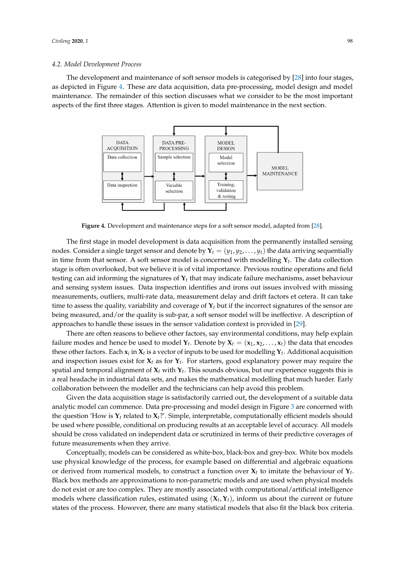#### <span id="page-5-1"></span>*4.2. Model Development Process*

<span id="page-5-0"></span>The development and maintenance of soft sensor models is categorised by [\[28\]](#page-11-7) into four stages, as depicted in Figure [4.](#page-5-0) These are data acquisition, data pre-processing, model design and model maintenance. The remainder of this section discusses what we consider to be the most important aspects of the first three stages. Attention is given to model maintenance in the next section.



**Figure 4.** Development and maintenance steps for a soft sensor model, adapted from [\[28\]](#page-11-7).

The first stage in model development is data acquisition from the permanently installed sensing nodes. Consider a single target sensor and denote by  $\mathbf{Y}_t = (y_1, y_2, \dots, y_t)$  the data arriving sequentially in time from that sensor. A soft sensor model is concerned with modelling  $\mathbf{Y}_t.$  The data collection stage is often overlooked, but we believe it is of vital importance. Previous routine operations and field testing can aid informing the signatures of **Y***t* that may indicate failure mechanisms, asset behaviour and sensing system issues. Data inspection identifies and irons out issues involved with missing measurements, outliers, multi-rate data, measurement delay and drift factors et cetera. It can take time to assess the quality, variability and coverage of **Y***t* but if the incorrect signatures of the sensor are being measured, and/or the quality is sub-par, a soft sensor model will be ineffective. A description of approaches to handle these issues in the sensor validation context is provided in [\[29\]](#page-11-8).

There are often reasons to believe other factors, say environmental conditions, may help explain failure modes and hence be used to model  $\mathbf{Y}_t$ . Denote by  $\mathbf{X}_t = (\mathbf{x}_1, \mathbf{x}_2, \dots, \mathbf{x}_t)$  the data that encodes these other factors. Each  $x_i$  in  $X_t$  is a vector of inputs to be used for modelling  $Y_t$ . Additional acquisition and inspection issues exist for **X***t* as for **Y***t* . For starters, good explanatory power may require the spatial and temporal alignment of **X***t* with **Y***t* . This sounds obvious, but our experience suggests this is a real headache in industrial data sets, and makes the mathematical modelling that much harder. Early collaboration between the modeller and the technicians can help avoid this problem.

Given the data acquisition stage is satisfactorily carried out, the development of a suitable data analytic model can commence. Data pre-processing and model design in Figure [3](#page-3-0) are concerned with the question 'How is  $Y_t$  related to  $X_t$ ?'. Simple, interpretable, computationally efficient models should be used where possible, conditional on producing results at an acceptable level of accuracy. All models should be cross validated on independent data or scrutinized in terms of their predictive coverages of future measurements when they arrive.

Conceptually, models can be considered as white-box, black-box and grey-box. White box models use physical knowledge of the process, for example based on differential and algebraic equations or derived from numerical models, to construct a function over **X***t* to imitate the behaviour of **Y***t* . Black box methods are approximations to non-parametric models and are used when physical models do not exist or are too complex. They are mostly associated with computational/artificial intelligence models where classification rules, estimated using (**X***<sup>t</sup>* , **Y***t*), inform us about the current or future states of the process. However, there are many statistical models that also fit the black box criteria.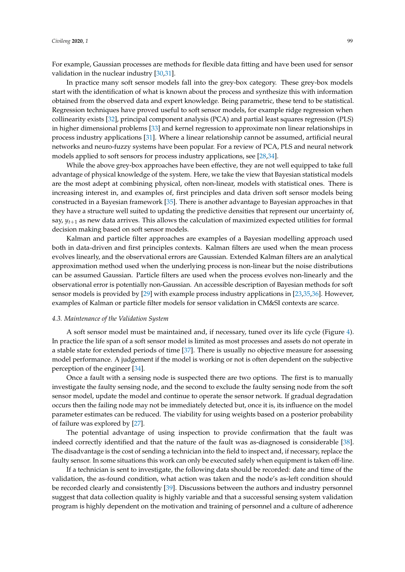For example, Gaussian processes are methods for flexible data fitting and have been used for sensor validation in the nuclear industry [\[30](#page-11-9)[,31\]](#page-11-10).

In practice many soft sensor models fall into the grey-box category. These grey-box models start with the identification of what is known about the process and synthesize this with information obtained from the observed data and expert knowledge. Being parametric, these tend to be statistical. Regression techniques have proved useful to soft sensor models, for example ridge regression when collinearity exists [\[32\]](#page-11-11), principal component analysis (PCA) and partial least squares regression (PLS) in higher dimensional problems [\[33\]](#page-11-12) and kernel regression to approximate non linear relationships in process industry applications [\[31\]](#page-11-10). Where a linear relationship cannot be assumed, artificial neural networks and neuro-fuzzy systems have been popular. For a review of PCA, PLS and neural network models applied to soft sensors for process industry applications, see [\[28](#page-11-7)[,34\]](#page-11-13).

While the above grey-box approaches have been effective, they are not well equipped to take full advantage of physical knowledge of the system. Here, we take the view that Bayesian statistical models are the most adept at combining physical, often non-linear, models with statistical ones. There is increasing interest in, and examples of, first principles and data driven soft sensor models being constructed in a Bayesian framework [\[35\]](#page-11-14). There is another advantage to Bayesian approaches in that they have a structure well suited to updating the predictive densities that represent our uncertainty of, say,  $y_{t+1}$  as new data arrives. This allows the calculation of maximized expected utilities for formal decision making based on soft sensor models.

Kalman and particle filter approaches are examples of a Bayesian modelling approach used both in data-driven and first principles contexts. Kalman filters are used when the mean process evolves linearly, and the observational errors are Gaussian. Extended Kalman filters are an analytical approximation method used when the underlying process is non-linear but the noise distributions can be assumed Gaussian. Particle filters are used when the process evolves non-linearly and the observational error is potentially non-Gaussian. An accessible description of Bayesian methods for soft sensor models is provided by [\[29\]](#page-11-8) with example process industry applications in [\[23,](#page-11-4)[35,](#page-11-14)[36\]](#page-11-15). However, examples of Kalman or particle filter models for sensor validation in CM&SI contexts are scarce.

#### *4.3. Maintenance of the Validation System*

A soft sensor model must be maintained and, if necessary, tuned over its life cycle (Figure [4\)](#page-5-0). In practice the life span of a soft sensor model is limited as most processes and assets do not operate in a stable state for extended periods of time [\[37\]](#page-11-16). There is usually no objective measure for assessing model performance. A judgement if the model is working or not is often dependent on the subjective perception of the engineer [\[34\]](#page-11-13).

Once a fault with a sensing node is suspected there are two options. The first is to manually investigate the faulty sensing node, and the second to exclude the faulty sensing node from the soft sensor model, update the model and continue to operate the sensor network. If gradual degradation occurs then the failing node may not be immediately detected but, once it is, its influence on the model parameter estimates can be reduced. The viability for using weights based on a posterior probability of failure was explored by [\[27\]](#page-11-6).

The potential advantage of using inspection to provide confirmation that the fault was indeed correctly identified and that the nature of the fault was as-diagnosed is considerable [\[38\]](#page-11-17). The disadvantage is the cost of sending a technician into the field to inspect and, if necessary, replace the faulty sensor. In some situations this work can only be executed safely when equipment is taken off-line.

If a technician is sent to investigate, the following data should be recorded: date and time of the validation, the as-found condition, what action was taken and the node's as-left condition should be recorded clearly and consistently [\[39\]](#page-11-18). Discussions between the authors and industry personnel suggest that data collection quality is highly variable and that a successful sensing system validation program is highly dependent on the motivation and training of personnel and a culture of adherence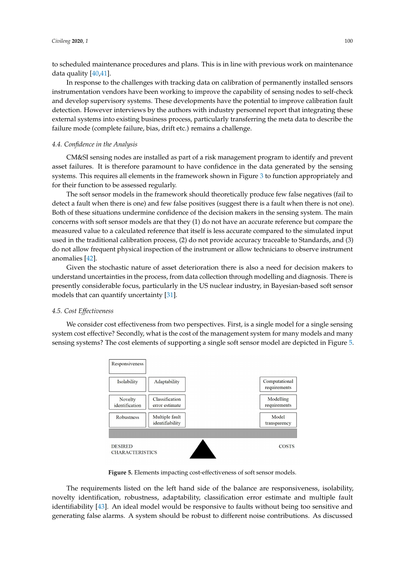to scheduled maintenance procedures and plans. This is in line with previous work on maintenance data quality [\[40,](#page-11-19)[41\]](#page-11-20).

In response to the challenges with tracking data on calibration of permanently installed sensors instrumentation vendors have been working to improve the capability of sensing nodes to self-check and develop supervisory systems. These developments have the potential to improve calibration fault detection. However interviews by the authors with industry personnel report that integrating these external systems into existing business process, particularly transferring the meta data to describe the failure mode (complete failure, bias, drift etc.) remains a challenge.

### *4.4. Confidence in the Analysis*

CM&SI sensing nodes are installed as part of a risk management program to identify and prevent asset failures. It is therefore paramount to have confidence in the data generated by the sensing systems. This requires all elements in the framework shown in Figure [3](#page-3-0) to function appropriately and for their function to be assessed regularly.

The soft sensor models in the framework should theoretically produce few false negatives (fail to detect a fault when there is one) and few false positives (suggest there is a fault when there is not one). Both of these situations undermine confidence of the decision makers in the sensing system. The main concerns with soft sensor models are that they (1) do not have an accurate reference but compare the measured value to a calculated reference that itself is less accurate compared to the simulated input used in the traditional calibration process, (2) do not provide accuracy traceable to Standards, and (3) do not allow frequent physical inspection of the instrument or allow technicians to observe instrument anomalies [\[42\]](#page-12-0).

Given the stochastic nature of asset deterioration there is also a need for decision makers to understand uncertainties in the process, from data collection through modelling and diagnosis. There is presently considerable focus, particularly in the US nuclear industry, in Bayesian-based soft sensor models that can quantify uncertainty [\[31\]](#page-11-10).

## *4.5. Cost Effectiveness*

<span id="page-7-0"></span>We consider cost effectiveness from two perspectives. First, is a single model for a single sensing system cost effective? Secondly, what is the cost of the management system for many models and many sensing systems? The cost elements of supporting a single soft sensor model are depicted in Figure [5.](#page-7-0)



**Figure 5.** Elements impacting cost-effectiveness of soft sensor models.

The requirements listed on the left hand side of the balance are responsiveness, isolability, novelty identification, robustness, adaptability, classification error estimate and multiple fault identifiability [\[43\]](#page-12-1). An ideal model would be responsive to faults without being too sensitive and generating false alarms. A system should be robust to different noise contributions. As discussed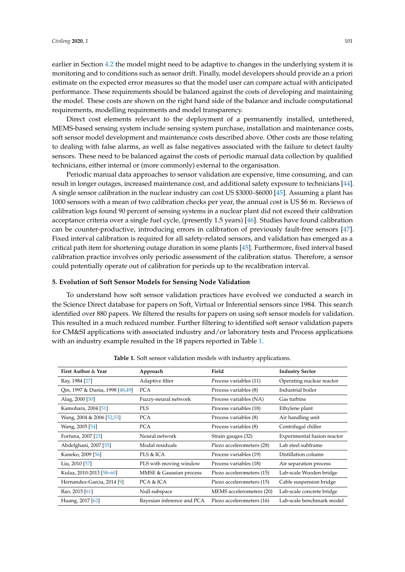earlier in Section [4.2](#page-5-1) the model might need to be adaptive to changes in the underlying system it is monitoring and to conditions such as sensor drift. Finally, model developers should provide an a priori estimate on the expected error measures so that the model user can compare actual with anticipated performance. These requirements should be balanced against the costs of developing and maintaining the model. These costs are shown on the right hand side of the balance and include computational requirements, modelling requirements and model transparency.

Direct cost elements relevant to the deployment of a permanently installed, untethered, MEMS-based sensing system include sensing system purchase, installation and maintenance costs, soft sensor model development and maintenance costs described above. Other costs are those relating to dealing with false alarms, as well as false negatives associated with the failure to detect faulty sensors. These need to be balanced against the costs of periodic manual data collection by qualified technicians, either internal or (more commonly) external to the organisation.

Periodic manual data approaches to sensor validation are expensive, time consuming, and can result in longer outages, increased maintenance cost, and additional safety exposure to technicians [\[44\]](#page-12-2). A single sensor calibration in the nuclear industry can cost US \$3000–\$6000 [\[45\]](#page-12-3). Assuming a plant has 1000 sensors with a mean of two calibration checks per year, the annual cost is US \$6 m. Reviews of calibration logs found 90 percent of sensing systems in a nuclear plant did not exceed their calibration acceptance criteria over a single fuel cycle, (presently 1.5 years) [\[46\]](#page-12-4). Studies have found calibration can be counter-productive, introducing errors in calibration of previously fault-free sensors [\[47\]](#page-12-5). Fixed interval calibration is required for all safety-related sensors, and validation has emerged as a critical path item for shortening outage duration in some plants [\[45\]](#page-12-3). Furthermore, fixed interval based calibration practice involves only periodic assessment of the calibration status. Therefore, a sensor could potentially operate out of calibration for periods up to the recalibration interval.

#### **5. Evolution of Soft Sensor Models for Sensing Node Validation**

To understand how soft sensor validation practices have evolved we conducted a search in the Science Direct database for papers on Soft, Virtual or Inferential sensors since 1984. This search identified over 880 papers. We filtered the results for papers on using soft sensor models for validation. This resulted in a much reduced number. Further filtering to identified soft sensor validation papers for CM&SI applications with associated industry and/or laboratory tests and Process applications with an industry example resulted in the 18 papers reported in Table [1.](#page-8-0)

<span id="page-8-0"></span>

| First Author & Year             | Approach                   | Field                     | <b>Industry Sector</b>      |
|---------------------------------|----------------------------|---------------------------|-----------------------------|
| Ray, 1984 [27]                  | Adaptive filter            | Process variables (11)    | Operating nuclear reactor   |
| Qin, 1997 & Dunia, 1998 [48,49] | <b>PCA</b>                 | Process variables (8)     | Industrial boiler           |
| Alag, 2000 [50]                 | Fuzzy-neural network       | Process variables (NA)    | Gas turbine                 |
| Kamohara, 2004 [51]             | <b>PLS</b>                 | Process variables (18)    | Ethylene plant              |
| Wang, 2004 & 2006 [52,53]       | <b>PCA</b>                 | Process variables (8)     | Air handling unit           |
| Wang, 2005 [54]                 | <b>PCA</b>                 | Process variables (8)     | Centrifugal chiller         |
| Fortuna, 2007 [23]              | Neural network             | Strain gauges (32)        | Experimental fusion reactor |
| Abdelghani, 2007 [55]           | Modal residuals            | Piezo accelerometers (28) | Lab steel subframe          |
| Kaneko, 2009 [56]               | PLS & ICA                  | Process variables (19)    | Distillation column         |
| Liu, 2010 [57]                  | PLS with moving window     | Process variables (18)    | Air separation process      |
| Kulaa, 2010-2013 [58-60]        | MMSE & Gaussian process    | Piezo accelerometers (15) | Lab-scale Wooden bridge     |
| Hernandez-Garcia, 2014 [9]      | PCA & ICA                  | Piezo accelerometers (15) | Cable suspension bridge     |
| Rao, 2015 [61]                  | Null subspace              | MEMS accelerometers (20)  | Lab-scale concrete bridge   |
| Huang, 2017 [62]                | Bayesian inference and PCA | Piezo accelerometers (16) | Lab-scale benchmark model   |

**Table 1.** Soft sensor validation models with industry applications.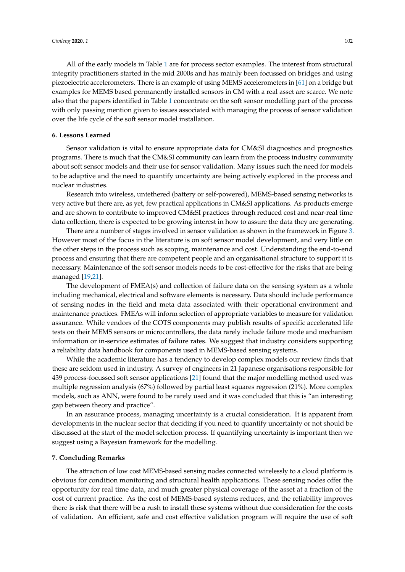All of the early models in Table [1](#page-8-0) are for process sector examples. The interest from structural integrity practitioners started in the mid 2000s and has mainly been focussed on bridges and using piezoelectric accelerometers. There is an example of using MEMS accelerometers in [\[61\]](#page-12-18) on a bridge but examples for MEMS based permanently installed sensors in CM with a real asset are scarce. We note also that the papers identified in Table [1](#page-8-0) concentrate on the soft sensor modelling part of the process with only passing mention given to issues associated with managing the process of sensor validation over the life cycle of the soft sensor model installation.

#### **6. Lessons Learned**

Sensor validation is vital to ensure appropriate data for CM&SI diagnostics and prognostics programs. There is much that the CM&SI community can learn from the process industry community about soft sensor models and their use for sensor validation. Many issues such the need for models to be adaptive and the need to quantify uncertainty are being actively explored in the process and nuclear industries.

Research into wireless, untethered (battery or self-powered), MEMS-based sensing networks is very active but there are, as yet, few practical applications in CM&SI applications. As products emerge and are shown to contribute to improved CM&SI practices through reduced cost and near-real time data collection, there is expected to be growing interest in how to assure the data they are generating.

There are a number of stages involved in sensor validation as shown in the framework in Figure [3.](#page-3-0) However most of the focus in the literature is on soft sensor model development, and very little on the other steps in the process such as scoping, maintenance and cost. Understanding the end-to-end process and ensuring that there are competent people and an organisational structure to support it is necessary. Maintenance of the soft sensor models needs to be cost-effective for the risks that are being managed [\[19](#page-11-3)[,21\]](#page-11-21).

The development of FMEA(s) and collection of failure data on the sensing system as a whole including mechanical, electrical and software elements is necessary. Data should include performance of sensing nodes in the field and meta data associated with their operational environment and maintenance practices. FMEAs will inform selection of appropriate variables to measure for validation assurance. While vendors of the COTS components may publish results of specific accelerated life tests on their MEMS sensors or microcontrollers, the data rarely include failure mode and mechanism information or in-service estimates of failure rates. We suggest that industry considers supporting a reliability data handbook for components used in MEMS-based sensing systems.

While the academic literature has a tendency to develop complex models our review finds that these are seldom used in industry. A survey of engineers in 21 Japanese organisations responsible for 439 process-focussed soft sensor applications [\[21\]](#page-11-21) found that the major modelling method used was multiple regression analysis (67%) followed by partial least squares regression (21%). More complex models, such as ANN, were found to be rarely used and it was concluded that this is "an interesting gap between theory and practice".

In an assurance process, managing uncertainty is a crucial consideration. It is apparent from developments in the nuclear sector that deciding if you need to quantify uncertainty or not should be discussed at the start of the model selection process. If quantifying uncertainty is important then we suggest using a Bayesian framework for the modelling.

#### **7. Concluding Remarks**

The attraction of low cost MEMS-based sensing nodes connected wirelessly to a cloud platform is obvious for condition monitoring and structural health applications. These sensing nodes offer the opportunity for real time data, and much greater physical coverage of the asset at a fraction of the cost of current practice. As the cost of MEMS-based systems reduces, and the reliability improves there is risk that there will be a rush to install these systems without due consideration for the costs of validation. An efficient, safe and cost effective validation program will require the use of soft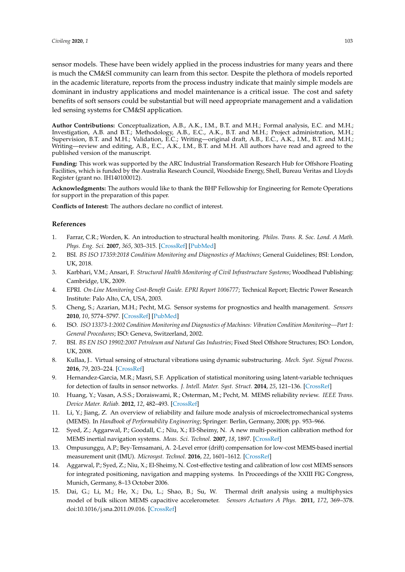sensor models. These have been widely applied in the process industries for many years and there is much the CM&SI community can learn from this sector. Despite the plethora of models reported in the academic literature, reports from the process industry indicate that mainly simple models are dominant in industry applications and model maintenance is a critical issue. The cost and safety benefits of soft sensors could be substantial but will need appropriate management and a validation led sensing systems for CM&SI application.

**Author Contributions:** Conceptualization, A.B., A.K., I.M., B.T. and M.H.; Formal analysis, E.C. and M.H.; Investigation, A.B. and B.T.; Methodology, A.B., E.C., A.K., B.T. and M.H.; Project administration, M.H.; Supervision, B.T. and M.H.; Validation, E.C.; Writing—original draft, A.B., E.C., A.K., I.M., B.T. and M.H.; Writing—review and editing, A.B., E.C., A.K., I.M., B.T. and M.H. All authors have read and agreed to the published version of the manuscript.

**Funding:** This work was supported by the ARC Industrial Transformation Research Hub for Offshore Floating Facilities, which is funded by the Australia Research Council, Woodside Energy, Shell, Bureau Veritas and Lloyds Register (grant no. IH140100012).

**Acknowledgments:** The authors would like to thank the BHP Fellowship for Engineering for Remote Operations for support in the preparation of this paper.

**Conflicts of Interest:** The authors declare no conflict of interest.

#### **References**

- <span id="page-10-0"></span>1. Farrar, C.R.; Worden, K. An introduction to structural health monitoring. *Philos. Trans. R. Soc. Lond. A Math. Phys. Eng. Sci.* **2007**, *365*, 303–315. [\[CrossRef\]](http://dx.doi.org/10.1098/rsta.2006.1928) [\[PubMed\]](http://www.ncbi.nlm.nih.gov/pubmed/17255041)
- <span id="page-10-1"></span>2. BSI. *BS ISO 17359:2018 Condition Monitoring and Diagnostics of Machines*; General Guidelines; BSI: London, UK, 2018.
- <span id="page-10-2"></span>3. Karbhari, V.M.; Ansari, F. *Structural Health Monitoring of Civil Infrastructure Systems*; Woodhead Publishing: Cambridge, UK, 2009.
- <span id="page-10-3"></span>4. EPRI. *On-Line Monitoring Cost-Benefit Guide. EPRI Report 1006777*; Technical Report; Electric Power Research Institute: Palo Alto, CA, USA, 2003.
- <span id="page-10-4"></span>5. Cheng, S.; Azarian, M.H.; Pecht, M.G. Sensor systems for prognostics and health management. *Sensors* **2010**, *10*, 5774–5797. [\[CrossRef\]](http://dx.doi.org/10.3390/s100605774) [\[PubMed\]](http://www.ncbi.nlm.nih.gov/pubmed/22219686)
- <span id="page-10-5"></span>6. ISO. *ISO 13373-1:2002 Condition Monitoring and Diagnostics of Machines: Vibration Condition Monitoring—Part 1: General Procedures*; ISO: Geneva, Switzerland, 2002.
- <span id="page-10-6"></span>7. BSI. *BS EN ISO 19902:2007 Petroleum and Natural Gas Industries*; Fixed Steel Offshore Structures; ISO: London, UK, 2008.
- <span id="page-10-7"></span>8. Kullaa, J.. Virtual sensing of structural vibrations using dynamic substructuring. *Mech. Syst. Signal Process.* **2016**, *79*, 203–224. [\[CrossRef\]](http://dx.doi.org/10.1016/j.ymssp.2016.02.045)
- <span id="page-10-8"></span>9. Hernandez-Garcia, M.R.; Masri, S.F. Application of statistical monitoring using latent-variable techniques for detection of faults in sensor networks. *J. Intell. Mater. Syst. Struct.* **2014**, *25*, 121–136. [\[CrossRef\]](http://dx.doi.org/10.1177/1045389X13479182)
- <span id="page-10-9"></span>10. Huang, Y.; Vasan, A.S.S.; Doraiswami, R.; Osterman, M.; Pecht, M. MEMS reliability review. *IEEE Trans. Device Mater. Reliab.* **2012**, *12*, 482–493. [\[CrossRef\]](http://dx.doi.org/10.1109/TDMR.2012.2191291)
- 11. Li, Y.; Jiang, Z. An overview of reliability and failure mode analysis of microelectromechanical systems (MEMS). In *Handbook of Performability Engineering*; Springer: Berlin, Germany, 2008; pp. 953–966.
- 12. Syed, Z.; Aggarwal, P.; Goodall, C.; Niu, X.; El-Sheimy, N. A new multi-position calibration method for MEMS inertial navigation systems. *Meas. Sci. Technol.* **2007**, *18*, 1897. [\[CrossRef\]](http://dx.doi.org/10.1088/0957-0233/18/7/016)
- 13. Ompusunggu, A.P.; Bey-Temsamani, A. 2-Level error (drift) compensation for low-cost MEMS-based inertial measurement unit (IMU). *Microsyst. Technol.* **2016**, *22*, 1601–1612. [\[CrossRef\]](http://dx.doi.org/10.1007/s00542-015-2786-y)
- 14. Aggarwal, P.; Syed, Z.; Niu, X.; El-Sheimy, N. Cost-effective testing and calibration of low cost MEMS sensors for integrated positioning, navigation and mapping systems. In Proceedings of the XXIII FIG Congress, Munich, Germany, 8–13 October 2006.
- 15. Dai, G.; Li, M.; He, X.; Du, L.; Shao, B.; Su, W. Thermal drift analysis using a multiphysics model of bulk silicon MEMS capacitive accelerometer. *Sensors Actuators A Phys.* **2011**, *172*, 369–378. doi[:10.1016/j.sna.2011.09.016.](https://doi.org/http://dx.doi.org/10.1016/j.sna.2011.09.016) [\[CrossRef\]](http://dx.doi.org/10.1016/j.sna.2011.09.016)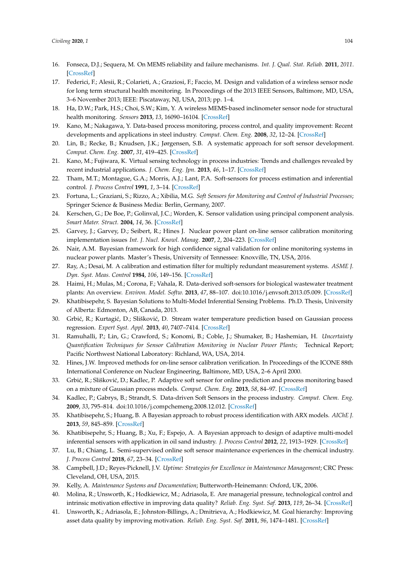- <span id="page-11-0"></span>16. Fonseca, D.J.; Sequera, M. On MEMS reliability and failure mechanisms. *Int. J. Qual. Stat. Reliab.* **2011**, *2011*. [\[CrossRef\]](http://dx.doi.org/10.1155/2011/820243)
- <span id="page-11-1"></span>17. Federici, F.; Alesii, R.; Colarieti, A.; Graziosi, F.; Faccio, M. Design and validation of a wireless sensor node for long term structural health monitoring. In Proceedings of the 2013 IEEE Sensors, Baltimore, MD, USA, 3–6 November 2013; IEEE: Piscataway, NJ, USA, 2013; pp. 1–4.
- <span id="page-11-2"></span>18. Ha, D.W.; Park, H.S.; Choi, S.W.; Kim, Y. A wireless MEMS-based inclinometer sensor node for structural health monitoring. *Sensors* **2013**, *13*, 16090–16104. [\[CrossRef\]](http://dx.doi.org/10.3390/s131216090)
- <span id="page-11-3"></span>19. Kano, M.; Nakagawa, Y. Data-based process monitoring, process control, and quality improvement: Recent developments and applications in steel industry. *Comput. Chem. Eng.* **2008**, *32*, 12–24. [\[CrossRef\]](http://dx.doi.org/10.1016/j.compchemeng.2007.07.005)
- 20. Lin, B.; Recke, B.; Knudsen, J.K.; Jørgensen, S.B. A systematic approach for soft sensor development. *Comput. Chem. Eng.* **2007**, *31*, 419–425. [\[CrossRef\]](http://dx.doi.org/10.1016/j.compchemeng.2006.05.030)
- <span id="page-11-21"></span>21. Kano, M.; Fujiwara, K. Virtual sensing technology in process industries: Trends and challenges revealed by recent industrial applications. *J. Chem. Eng. Jpn.* **2013**, *46*, 1–17. [\[CrossRef\]](http://dx.doi.org/10.1252/jcej.12we167)
- 22. Tham, M.T.; Montague, G.A.; Morris, A.J.; Lant, P.A. Soft-sensors for process estimation and inferential control. *J. Process Control* **1991**, *1*, 3–14. [\[CrossRef\]](http://dx.doi.org/10.1016/0959-1524(91)87002-F)
- <span id="page-11-4"></span>23. Fortuna, L.; Graziani, S.; Rizzo, A.; Xibilia, M.G. *Soft Sensors for Monitoring and Control of Industrial Processes*; Springer Science & Business Media: Berlin, Germany, 2007.
- <span id="page-11-5"></span>24. Kerschen, G.; De Boe, P.; Golinval, J.C.; Worden, K. Sensor validation using principal component analysis. *Smart Mater. Struct.* **2004**, *14*, 36. [\[CrossRef\]](http://dx.doi.org/10.1088/0964-1726/14/1/004)
- 25. Garvey, J.; Garvey, D.; Seibert, R.; Hines J. Nuclear power plant on-line sensor calibration monitoring implementation issues *Int. J. Nucl. Knowl. Manag.* **2007**, *2*, 204–223. [\[CrossRef\]](http://dx.doi.org/10.1504/IJNKM.2007.013559)
- 26. Nair, A.M. Bayesian framework for high confidence signal validation for online monitoring systems in nuclear power plants. Master's Thesis, University of Tennessee: Knoxville, TN, USA, 2016.
- <span id="page-11-6"></span>27. Ray, A.; Desai, M. A calibration and estimation filter for multiply redundant measurement systems. *ASME J. Dyn. Syst. Meas. Control* **1984**, *106*, 149–156. [\[CrossRef\]](http://dx.doi.org/10.1115/1.3143729)
- <span id="page-11-7"></span>28. Haimi, H.; Mulas, M.; Corona, F.; Vahala, R. Data-derived soft-sensors for biological wastewater treatment plants: An overview. *Environ. Model. Softw.* **2013**, *47*, 88–107. doi[:10.1016/j.envsoft.2013.05.009.](https://doi.org/http://dx.doi.org/10.1016/j.envsoft.2013.05.009) [\[CrossRef\]](http://dx.doi.org/10.1016/j.envsoft.2013.05.009)
- <span id="page-11-8"></span>29. Khatibisepehr, S. Bayesian Solutions to Multi-Model Inferential Sensing Problems. Ph.D. Thesis, University of Alberta: Edmonton, AB, Canada, 2013.
- <span id="page-11-9"></span>30. Grbić, R.; Kurtagić, D.; Slišković, D. Stream water temperature prediction based on Gaussian process regression. *Expert Syst. Appl.* **2013**, *40*, 7407–7414. [\[CrossRef\]](http://dx.doi.org/10.1016/j.eswa.2013.06.077)
- <span id="page-11-10"></span>31. Ramuhalli, P.; Lin, G.; Crawford, S.; Konomi, B.; Coble, J.; Shumaker, B.; Hashemian, H. *Uncertainty Quantification Techniques for Sensor Calibration Monitoring in Nuclear Power Plants*; Technical Report; Pacific Northwest National Laboratory: Richland, WA, USA, 2014.
- <span id="page-11-11"></span>32. Hines, J.W. Improved methods for on-line sensor calibration verification. In Proceedings of the ICONE 88th International Conference on Nuclear Engineering, Baltimore, MD, USA, 2–6 April 2000.
- <span id="page-11-12"></span>33. Grbić, R.; Slišković, D.; Kadlec, P. Adaptive soft sensor for online prediction and process monitoring based on a mixture of Gaussian process models. *Comput. Chem. Eng.* **2013**, *58*, 84–97. [\[CrossRef\]](http://dx.doi.org/10.1016/j.compchemeng.2013.06.014)
- <span id="page-11-13"></span>34. Kadlec, P.; Gabrys, B.; Strandt, S. Data-driven Soft Sensors in the process industry. *Comput. Chem. Eng.* **2009**, *33*, 795–814. doi[:10.1016/j.compchemeng.2008.12.012.](https://doi.org/http://dx.doi.org/10.1016/j.compchemeng.2008.12.012) [\[CrossRef\]](http://dx.doi.org/10.1016/j.compchemeng.2008.12.012)
- <span id="page-11-14"></span>35. Khatibisepehr, S.; Huang, B. A Bayesian approach to robust process identification with ARX models. *AIChE J.* **2013**, *59*, 845–859. [\[CrossRef\]](http://dx.doi.org/10.1002/aic.13887)
- <span id="page-11-15"></span>36. Khatibisepehr, S.; Huang, B.; Xu, F.; Espejo, A. A Bayesian approach to design of adaptive multi-model inferential sensors with application in oil sand industry. *J. Process Control* **2012**, *22*, 1913–1929. [\[CrossRef\]](http://dx.doi.org/10.1016/j.jprocont.2012.09.006)
- <span id="page-11-16"></span>37. Lu, B.; Chiang, L. Semi-supervised online soft sensor maintenance experiences in the chemical industry. *J. Process Control* **2018**, *67*, 23–34. [\[CrossRef\]](http://dx.doi.org/10.1016/j.jprocont.2017.03.013)
- <span id="page-11-17"></span>38. Campbell, J.D.; Reyes-Picknell, J.V. *Uptime: Strategies for Excellence in Maintenance Management*; CRC Press: Cleveland, OH, USA, 2015.
- <span id="page-11-18"></span>39. Kelly, A. *Maintenance Systems and Documentation*; Butterworth-Heinemann: Oxford, UK, 2006.
- <span id="page-11-19"></span>40. Molina, R.; Unsworth, K.; Hodkiewicz, M.; Adriasola, E. Are managerial pressure, technological control and intrinsic motivation effective in improving data quality? *Reliab. Eng. Syst. Saf.* **2013**, *119*, 26–34. [\[CrossRef\]](http://dx.doi.org/10.1016/j.ress.2013.04.009)
- <span id="page-11-20"></span>41. Unsworth, K.; Adriasola, E.; Johnston-Billings, A.; Dmitrieva, A.; Hodkiewicz, M. Goal hierarchy: Improving asset data quality by improving motivation. *Reliab. Eng. Syst. Saf.* **2011**, *96*, 1474–1481. [\[CrossRef\]](http://dx.doi.org/10.1016/j.ress.2011.06.003)